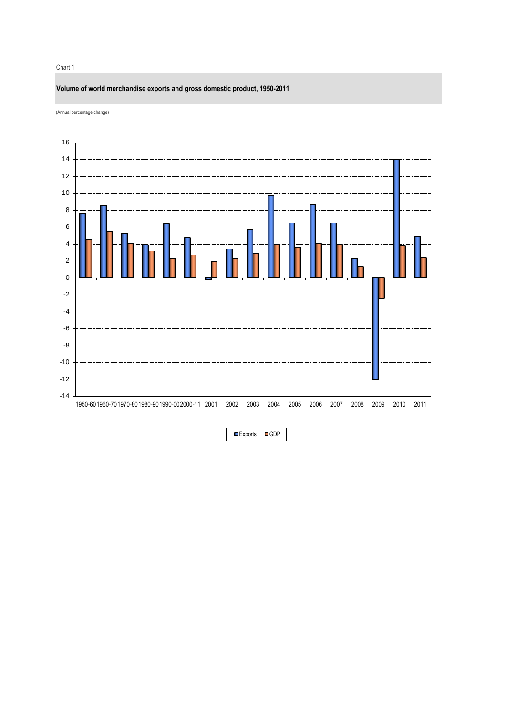#### Chart 1

# **Volume of world merchandise exports and gross domestic product, 1950-2011**

(Annual percentage change)



■Exports ■GDP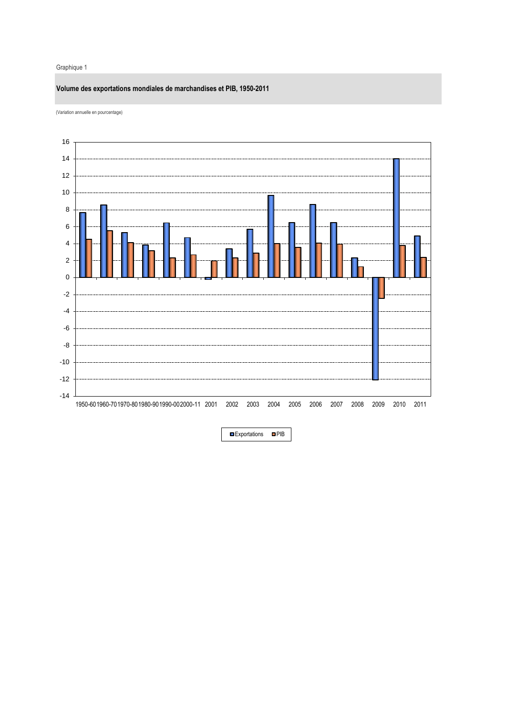#### Graphique 1

# **Volume des exportations mondiales de marchandises et PIB, 1950-2011**





**DExportations DPIB**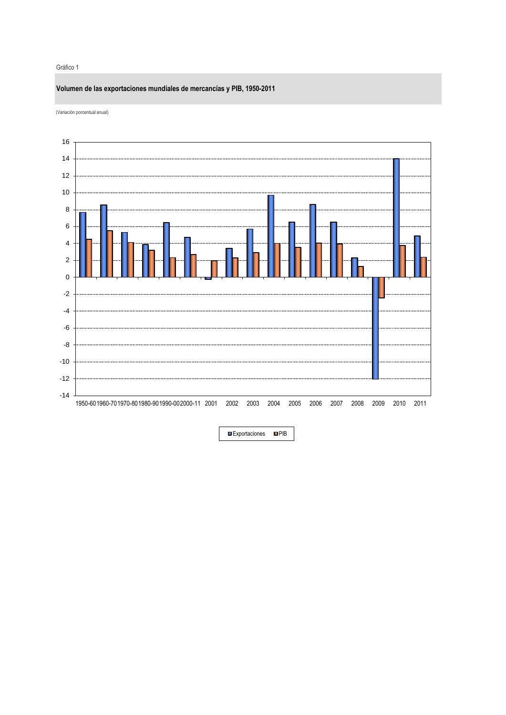#### Gráfico 1

# **Volumen de las exportaciones mundiales de mercancías y PIB, 1950-2011**





Exportaciones **PIB**